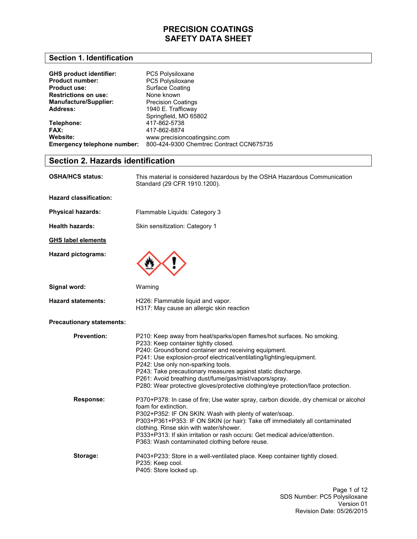### **Section 1. Identification**

| <b>GHS product identifier:</b> | PC5 Polysiloxane                         |
|--------------------------------|------------------------------------------|
| <b>Product number:</b>         | PC5 Polysiloxane                         |
| <b>Product use:</b>            | <b>Surface Coating</b>                   |
| <b>Restrictions on use:</b>    | None known                               |
| <b>Manufacture/Supplier:</b>   | <b>Precision Coatings</b>                |
| <b>Address:</b>                | 1940 E. Trafficway                       |
|                                | Springfield, MO 65802                    |
| Telephone:                     | 417-862-5738                             |
| FAX:                           | 417-862-8874                             |
| Website:                       | www.precisioncoatingsinc.com             |
| Emergency telephone number:    | 800-424-9300 Chemtrec Contract CCN675735 |

# **Section 2. Hazards identification**

| OSHA/HCS status:                 | This material is considered hazardous by the OSHA Hazardous Communication<br>Standard (29 CFR 1910.1200).                                                                                                                                                                                                                                                                                                                                                                                         |  |
|----------------------------------|---------------------------------------------------------------------------------------------------------------------------------------------------------------------------------------------------------------------------------------------------------------------------------------------------------------------------------------------------------------------------------------------------------------------------------------------------------------------------------------------------|--|
| <b>Hazard classification:</b>    |                                                                                                                                                                                                                                                                                                                                                                                                                                                                                                   |  |
| <b>Physical hazards:</b>         | Flammable Liquids: Category 3                                                                                                                                                                                                                                                                                                                                                                                                                                                                     |  |
| <b>Health hazards:</b>           | Skin sensitization: Category 1                                                                                                                                                                                                                                                                                                                                                                                                                                                                    |  |
| <b>GHS label elements</b>        |                                                                                                                                                                                                                                                                                                                                                                                                                                                                                                   |  |
| <b>Hazard pictograms:</b>        |                                                                                                                                                                                                                                                                                                                                                                                                                                                                                                   |  |
| Signal word:                     | Warning                                                                                                                                                                                                                                                                                                                                                                                                                                                                                           |  |
| <b>Hazard statements:</b>        | H226: Flammable liquid and vapor.<br>H317: May cause an allergic skin reaction                                                                                                                                                                                                                                                                                                                                                                                                                    |  |
| <b>Precautionary statements:</b> |                                                                                                                                                                                                                                                                                                                                                                                                                                                                                                   |  |
| <b>Prevention:</b>               | P210: Keep away from heat/sparks/open flames/hot surfaces. No smoking.<br>P233: Keep container tightly closed.<br>P240: Ground/bond container and receiving equipment.<br>P241: Use explosion-proof electrical/ventilating/lighting/equipment.<br>P242: Use only non-sparking tools.<br>P243: Take precautionary measures against static discharge.<br>P261: Avoid breathing dust/fume/gas/mist/vapors/spray.<br>P280: Wear protective gloves/protective clothing/eye protection/face protection. |  |
| Response:                        | P370+P378: In case of fire; Use water spray, carbon dioxide, dry chemical or alcohol<br>foam for extinction.<br>P302+P352: IF ON SKIN: Wash with plenty of water/soap.<br>P303+P361+P353: IF ON SKIN (or hair): Take off immediately all contaminated<br>clothing. Rinse skin with water/shower.<br>P333+P313: If skin irritation or rash occurs: Get medical advice/attention.<br>P363: Wash contaminated clothing before reuse.                                                                 |  |
| Storage:                         | P403+P233: Store in a well-ventilated place. Keep container tightly closed.<br>P235: Keep cool.<br>P405: Store locked up.                                                                                                                                                                                                                                                                                                                                                                         |  |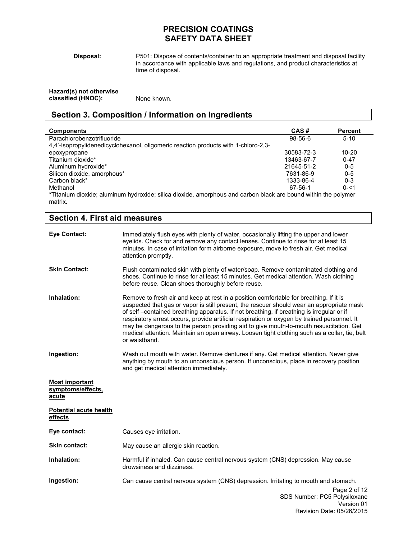**Disposal:** 

P501: Dispose of contents/container to an appropriate treatment and disposal facility in accordance with applicable laws and regulations, and product characteristics at time of disposal.

| Hazard(s) not otherwise |             |
|-------------------------|-------------|
| classified (HNOC):      | None known. |

# **Section 3. Composition / Information on Ingredients**

| <b>Components</b>                                                                                                         | CAS#       | <b>Percent</b> |
|---------------------------------------------------------------------------------------------------------------------------|------------|----------------|
| Parachlorobenzotrifluoride                                                                                                | $98-56-6$  | $5-10$         |
| 4.4'-Isopropylidenedicyclohexanol, oligomeric reaction products with 1-chloro-2.3-                                        |            |                |
| epoxypropane                                                                                                              | 30583-72-3 | 10-20          |
| Titanium dioxide*                                                                                                         | 13463-67-7 | $0 - 47$       |
| Aluminum hydroxide*                                                                                                       | 21645-51-2 | $0 - 5$        |
| Silicon dioxide, amorphous*                                                                                               | 7631-86-9  | $0 - 5$        |
| Carbon black*                                                                                                             | 1333-86-4  | $0 - 3$        |
| Methanol                                                                                                                  | 67-56-1    | $0 - 51$       |
| *Titanium dioxide; aluminum hydroxide; silica dioxide, amorphous and carbon black are bound within the polymer<br>matrix. |            |                |

| <b>Section 4. First aid measures</b>                |                                                                                                                                                                                                                                                                                                                                                                                                                                                                                                                                                                                             |  |
|-----------------------------------------------------|---------------------------------------------------------------------------------------------------------------------------------------------------------------------------------------------------------------------------------------------------------------------------------------------------------------------------------------------------------------------------------------------------------------------------------------------------------------------------------------------------------------------------------------------------------------------------------------------|--|
| <b>Eye Contact:</b>                                 | Immediately flush eyes with plenty of water, occasionally lifting the upper and lower<br>eyelids. Check for and remove any contact lenses. Continue to rinse for at least 15<br>minutes. In case of irritation form airborne exposure, move to fresh air. Get medical<br>attention promptly.                                                                                                                                                                                                                                                                                                |  |
| <b>Skin Contact:</b>                                | Flush contaminated skin with plenty of water/soap. Remove contaminated clothing and<br>shoes. Continue to rinse for at least 15 minutes. Get medical attention. Wash clothing<br>before reuse. Clean shoes thoroughly before reuse.                                                                                                                                                                                                                                                                                                                                                         |  |
| Inhalation:                                         | Remove to fresh air and keep at rest in a position comfortable for breathing. If it is<br>suspected that gas or vapor is still present, the rescuer should wear an appropriate mask<br>of self-contained breathing apparatus. If not breathing, if breathing is irregular or if<br>respiratory arrest occurs, provide artificial respiration or oxygen by trained personnel. It<br>may be dangerous to the person providing aid to give mouth-to-mouth resuscitation. Get<br>medical attention. Maintain an open airway. Loosen tight clothing such as a collar, tie, belt<br>or waistband. |  |
| Ingestion:                                          | Wash out mouth with water. Remove dentures if any. Get medical attention. Never give<br>anything by mouth to an unconscious person. If unconscious, place in recovery position<br>and get medical attention immediately.                                                                                                                                                                                                                                                                                                                                                                    |  |
| <b>Most important</b><br>symptoms/effects,<br>acute |                                                                                                                                                                                                                                                                                                                                                                                                                                                                                                                                                                                             |  |
| Potential acute health<br>effects                   |                                                                                                                                                                                                                                                                                                                                                                                                                                                                                                                                                                                             |  |
| Eye contact:                                        | Causes eye irritation.                                                                                                                                                                                                                                                                                                                                                                                                                                                                                                                                                                      |  |
| <b>Skin contact:</b>                                | May cause an allergic skin reaction.                                                                                                                                                                                                                                                                                                                                                                                                                                                                                                                                                        |  |
| Inhalation:                                         | Harmful if inhaled. Can cause central nervous system (CNS) depression. May cause<br>drowsiness and dizziness.                                                                                                                                                                                                                                                                                                                                                                                                                                                                               |  |
| Ingestion:                                          | Can cause central nervous system (CNS) depression. Irritating to mouth and stomach.<br>Page 2 of 12<br>SDS Number: PC5 Polysiloxane<br>Version 01                                                                                                                                                                                                                                                                                                                                                                                                                                           |  |

Revision Date: 05/26/2015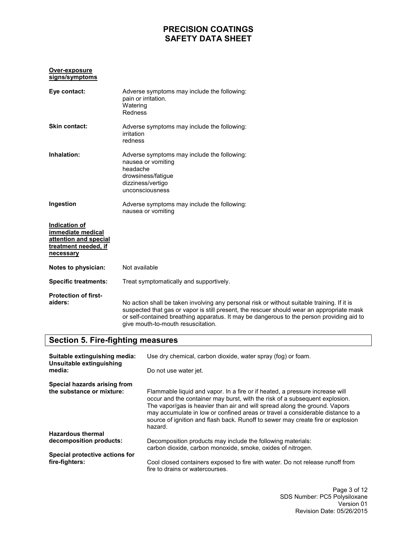#### **Over-exposure signs/symptoms**

| Eye contact:                                                                                     | Adverse symptoms may include the following:<br>pain or irritation.<br>Watering<br>Redness                                                                                                                                                                                                                                   |
|--------------------------------------------------------------------------------------------------|-----------------------------------------------------------------------------------------------------------------------------------------------------------------------------------------------------------------------------------------------------------------------------------------------------------------------------|
| Skin contact:                                                                                    | Adverse symptoms may include the following:<br>irritation<br>redness                                                                                                                                                                                                                                                        |
| Inhalation:                                                                                      | Adverse symptoms may include the following:<br>nausea or vomiting<br>headache<br>drowsiness/fatigue<br>dizziness/vertigo<br>unconsciousness                                                                                                                                                                                 |
| Ingestion                                                                                        | Adverse symptoms may include the following:<br>nausea or vomiting                                                                                                                                                                                                                                                           |
| Indication of<br>immediate medical<br>attention and special<br>treatment needed, if<br>necessary |                                                                                                                                                                                                                                                                                                                             |
| Notes to physician:                                                                              | Not available                                                                                                                                                                                                                                                                                                               |
| <b>Specific treatments:</b>                                                                      | Treat symptomatically and supportively.                                                                                                                                                                                                                                                                                     |
| <b>Protection of first-</b><br>aiders:                                                           | No action shall be taken involving any personal risk or without suitable training. If it is<br>suspected that gas or vapor is still present, the rescuer should wear an appropriate mask<br>or self-contained breathing apparatus. It may be dangerous to the person providing aid to<br>give mouth-to-mouth resuscitation. |

# **Section 5. Fire-fighting measures**

| Suitable extinguishing media:<br>Unsuitable extinguishing | Use dry chemical, carbon dioxide, water spray (fog) or foam.                                                                                                                                                                                                                                                                                                                                                              |  |
|-----------------------------------------------------------|---------------------------------------------------------------------------------------------------------------------------------------------------------------------------------------------------------------------------------------------------------------------------------------------------------------------------------------------------------------------------------------------------------------------------|--|
| media:                                                    | Do not use water jet.                                                                                                                                                                                                                                                                                                                                                                                                     |  |
| Special hazards arising from<br>the substance or mixture: | Flammable liquid and vapor. In a fire or if heated, a pressure increase will<br>occur and the container may burst, with the risk of a subsequent explosion.<br>The vapor/gas is heavier than air and will spread along the ground. Vapors<br>may accumulate in low or confined areas or travel a considerable distance to a<br>source of ignition and flash back. Runoff to sewer may create fire or explosion<br>hazard. |  |
| <b>Hazardous thermal</b>                                  |                                                                                                                                                                                                                                                                                                                                                                                                                           |  |
| decomposition products:                                   | Decomposition products may include the following materials:<br>carbon dioxide, carbon monoxide, smoke, oxides of nitrogen.                                                                                                                                                                                                                                                                                                |  |
| Special protective actions for                            |                                                                                                                                                                                                                                                                                                                                                                                                                           |  |
| fire-fighters:                                            | Cool closed containers exposed to fire with water. Do not release runoff from<br>fire to drains or watercourses.                                                                                                                                                                                                                                                                                                          |  |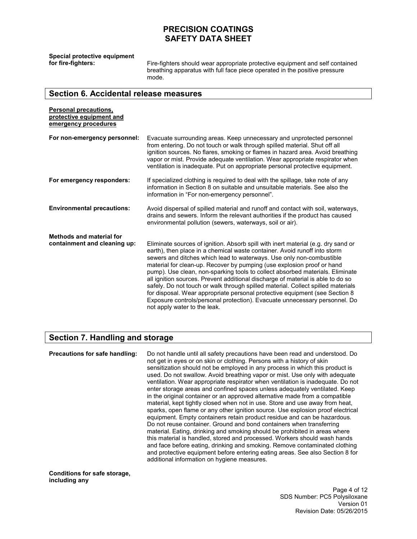**Special protective equipment** 

Fire-fighters should wear appropriate protective equipment and self contained breathing apparatus with full face piece operated in the positive pressure mode.

### **Section 6. Accidental release measures**

| <b>Personal precautions,</b><br>protective equipment and<br>emergency procedures |                                                                                                                                                                                                                                                                                                                                                                                                                                                                                                                                                                                                                                                                                                                                                                       |
|----------------------------------------------------------------------------------|-----------------------------------------------------------------------------------------------------------------------------------------------------------------------------------------------------------------------------------------------------------------------------------------------------------------------------------------------------------------------------------------------------------------------------------------------------------------------------------------------------------------------------------------------------------------------------------------------------------------------------------------------------------------------------------------------------------------------------------------------------------------------|
| For non-emergency personnel:                                                     | Evacuate surrounding areas. Keep unnecessary and unprotected personnel<br>from entering. Do not touch or walk through spilled material. Shut off all<br>ignition sources. No flares, smoking or flames in hazard area. Avoid breathing<br>vapor or mist. Provide adequate ventilation. Wear appropriate respirator when<br>ventilation is inadequate. Put on appropriate personal protective equipment.                                                                                                                                                                                                                                                                                                                                                               |
| For emergency responders:                                                        | If specialized clothing is required to deal with the spillage, take note of any<br>information in Section 8 on suitable and unsuitable materials. See also the<br>information in "For non-emergency personnel".                                                                                                                                                                                                                                                                                                                                                                                                                                                                                                                                                       |
| <b>Environmental precautions:</b>                                                | Avoid dispersal of spilled material and runoff and contact with soil, waterways,<br>drains and sewers. Inform the relevant authorities if the product has caused<br>environmental pollution (sewers, waterways, soil or air).                                                                                                                                                                                                                                                                                                                                                                                                                                                                                                                                         |
| Methods and material for<br>containment and cleaning up:                         | Eliminate sources of ignition. Absorb spill with inert material (e.g. dry sand or<br>earth), then place in a chemical waste container. Avoid runoff into storm<br>sewers and ditches which lead to waterways. Use only non-combustible<br>material for clean-up. Recover by pumping (use explosion proof or hand<br>pump). Use clean, non-sparking tools to collect absorbed materials. Eliminate<br>all ignition sources. Prevent additional discharge of material is able to do so<br>safely. Do not touch or walk through spilled material. Collect spilled materials<br>for disposal. Wear appropriate personal protective equipment (see Section 8<br>Exposure controls/personal protection). Evacuate unnecessary personnel. Do<br>not apply water to the leak. |

### **Section 7. Handling and storage**

**Precautions for safe handling:** Do not handle until all safety precautions have been read and understood. Do not get in eyes or on skin or clothing. Persons with a history of skin sensitization should not be employed in any process in which this product is used. Do not swallow. Avoid breathing vapor or mist. Use only with adequate ventilation. Wear appropriate respirator when ventilation is inadequate. Do not enter storage areas and confined spaces unless adequately ventilated. Keep in the original container or an approved alternative made from a compatible material, kept tightly closed when not in use. Store and use away from heat, sparks, open flame or any other ignition source. Use explosion proof electrical equipment. Empty containers retain product residue and can be hazardous. Do not reuse container. Ground and bond containers when transferring material. Eating, drinking and smoking should be prohibited in areas where this material is handled, stored and processed. Workers should wash hands and face before eating, drinking and smoking. Remove contaminated clothing and protective equipment before entering eating areas. See also Section 8 for additional information on hygiene measures.

**Conditions for safe storage, including any** 

> Page 4 of 12 SDS Number: PC5 Polysiloxane Version 01 Revision Date: 05/26/2015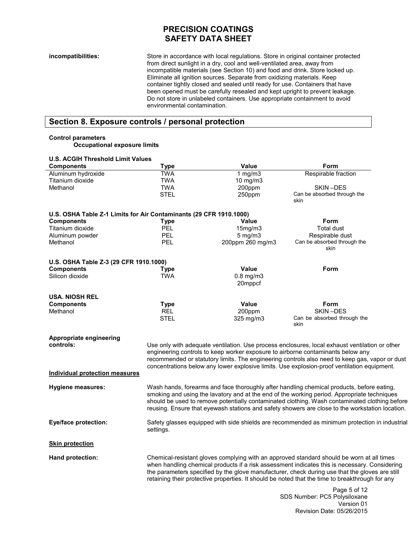**incompatibilities:** Store in accordance with local regulations. Store in original container protected from direct sunlight in a dry, cool and well-ventilated area, away from incompatible materials (see Section 10) and food and drink. Store locked up. Eliminate all ignition sources. Separate from oxidizing materials. Keep container tightly closed and sealed until ready for use. Containers that have been opened must be carefully resealed and kept upright to prevent leakage. Do not store in unlabeled containers. Use appropriate containment to avoid environmental contamination.

# **Section 8. Exposure controls / personal protection**

#### **Control parameters**

**Occupational exposure limits** 

| <b>U.S. ACGIH Threshold Limit Values</b>                           |                                                                                                                                                                                                                                                                                                                                                                                                 |                           |                                              |
|--------------------------------------------------------------------|-------------------------------------------------------------------------------------------------------------------------------------------------------------------------------------------------------------------------------------------------------------------------------------------------------------------------------------------------------------------------------------------------|---------------------------|----------------------------------------------|
| <b>Components</b>                                                  | <b>Type</b>                                                                                                                                                                                                                                                                                                                                                                                     | Value                     | Form                                         |
| Aluminum hydroxide                                                 | <b>TWA</b>                                                                                                                                                                                                                                                                                                                                                                                      | 1 $mg/m3$                 | Respirable fraction                          |
| Titanium dioxide                                                   | <b>TWA</b>                                                                                                                                                                                                                                                                                                                                                                                      | 10 mg/m $3$               |                                              |
| Methanol                                                           | <b>TWA</b>                                                                                                                                                                                                                                                                                                                                                                                      | 200ppm                    | SKIN-DES                                     |
|                                                                    | <b>STEL</b>                                                                                                                                                                                                                                                                                                                                                                                     | 250ppm                    | Can be absorbed through the<br>skin          |
| U.S. OSHA Table Z-1 Limits for Air Contaminants (29 CFR 1910.1000) |                                                                                                                                                                                                                                                                                                                                                                                                 |                           |                                              |
| <b>Components</b>                                                  | Type                                                                                                                                                                                                                                                                                                                                                                                            | <b>Value</b>              | <b>Form</b>                                  |
| Titanium dioxide                                                   | <b>PEL</b>                                                                                                                                                                                                                                                                                                                                                                                      | 15mg/m3                   | <b>Total dust</b>                            |
| Aluminum powder                                                    | PEL                                                                                                                                                                                                                                                                                                                                                                                             | $5$ mg/m $3$              | Respirable dust                              |
| Methanol                                                           | <b>PEL</b>                                                                                                                                                                                                                                                                                                                                                                                      | 200ppm 260 mg/m3          | Can be absorbed through the<br>skin          |
| U.S. OSHA Table Z-3 (29 CFR 1910.1000)                             |                                                                                                                                                                                                                                                                                                                                                                                                 |                           |                                              |
| <b>Components</b>                                                  | <b>Type</b>                                                                                                                                                                                                                                                                                                                                                                                     | Value                     | Form                                         |
| Silicon dioxide                                                    | <b>TWA</b>                                                                                                                                                                                                                                                                                                                                                                                      | $0.8$ mg/m $3$<br>20mppcf |                                              |
| <b>USA. NIOSH REL</b>                                              |                                                                                                                                                                                                                                                                                                                                                                                                 |                           |                                              |
| <b>Components</b>                                                  | Type                                                                                                                                                                                                                                                                                                                                                                                            | Value                     | Form                                         |
| Methanol                                                           | <b>REL</b>                                                                                                                                                                                                                                                                                                                                                                                      | 200ppm                    | SKIN-DES                                     |
|                                                                    | <b>STEL</b>                                                                                                                                                                                                                                                                                                                                                                                     | 325 mg/m3                 | Can be absorbed through the<br>skin          |
| Appropriate engineering<br>controls:                               |                                                                                                                                                                                                                                                                                                                                                                                                 |                           |                                              |
|                                                                    | Use only with adequate ventilation. Use process enclosures, local exhaust ventilation or other<br>engineering controls to keep worker exposure to airborne contaminants below any                                                                                                                                                                                                               |                           |                                              |
|                                                                    | recommended or statutory limits. The engineering controls also need to keep gas, vapor or dust<br>concentrations below any lower explosive limits. Use explosion-proof ventilation equipment.                                                                                                                                                                                                   |                           |                                              |
| Individual protection measures                                     |                                                                                                                                                                                                                                                                                                                                                                                                 |                           |                                              |
| <b>Hygiene measures:</b>                                           | Wash hands, forearms and face thoroughly after handling chemical products, before eating,<br>smoking and using the lavatory and at the end of the working period. Appropriate techniques<br>should be used to remove potentially contaminated clothing. Wash contaminated clothing before<br>reusing. Ensure that eyewash stations and safety showers are close to the workstation location.    |                           |                                              |
| <b>Eye/face protection:</b>                                        | Safety glasses equipped with side shields are recommended as minimum protection in industrial<br>settings.                                                                                                                                                                                                                                                                                      |                           |                                              |
| <b>Skin protection</b>                                             |                                                                                                                                                                                                                                                                                                                                                                                                 |                           |                                              |
| Hand protection:                                                   | Chemical-resistant gloves complying with an approved standard should be worn at all times<br>when handling chemical products if a risk assessment indicates this is necessary. Considering<br>the parameters specified by the glove manufacturer, check during use that the gloves are still<br>retaining their protective properties. It should be noted that the time to breakthrough for any |                           |                                              |
|                                                                    |                                                                                                                                                                                                                                                                                                                                                                                                 |                           | Page 5 of 12<br>SDS Number: PC5 Polysiloxane |

Version 01

Revision Date: 05/26/2015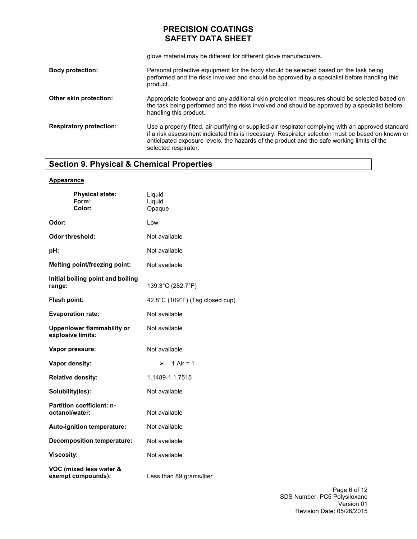glove material may be different for different glove manufacturers.

| <b>Body protection:</b>        | Personal protective equipment for the body should be selected based on the task being<br>performed and the risks involved and should be approved by a specialist before handling this<br>product.                                                                                                                             |
|--------------------------------|-------------------------------------------------------------------------------------------------------------------------------------------------------------------------------------------------------------------------------------------------------------------------------------------------------------------------------|
| Other skin protection:         | Appropriate footwear and any additional skin protection measures should be selected based on<br>the task being performed and the risks involved and should be approved by a specialist before<br>handling this product.                                                                                                       |
| <b>Respiratory protection:</b> | Use a properly fitted, air-purifying or supplied-air respirator complying with an approved standard<br>if a risk assessment indicated this is necessary. Respirator selection must be based on known or<br>anticipated exposure levels, the hazards of the product and the safe working limits of the<br>selected respirator. |

# **Section 9. Physical & Chemical Properties**

### **Appearance**

| <b>Physical state:</b><br>Form:<br>Color:               | Liquid<br>Liquid<br>Opaque      |
|---------------------------------------------------------|---------------------------------|
| Odor:                                                   | Low                             |
| Odor threshold:                                         | Not available                   |
| pH:                                                     | Not available                   |
| Melting point/freezing point:                           | Not available                   |
| Initial boiling point and boiling<br>range:             | 139.3°C (282.7°F)               |
| Flash point:                                            | 42.8°C (109°F) (Tag closed cup) |
| <b>Evaporation rate:</b>                                | Not available                   |
| <b>Upper/lower flammability or</b><br>explosive limits: | Not available                   |
| Vapor pressure:                                         | Not available                   |
| Vapor density:                                          | 1 Air = $1$<br>≻                |
| <b>Relative density:</b>                                | 1.1489-1.1.7515                 |
| Solubility(ies):                                        | Not available                   |
| <b>Partition coefficient: n-</b><br>octanol/water:      | Not available                   |
| Auto-ignition temperature:                              | Not available                   |
| <b>Decomposition temperature:</b>                       | Not available                   |
| <b>Viscosity:</b>                                       | Not available                   |
| VOC (mixed less water &<br>exempt compounds):           | Less than 89 grams/liter        |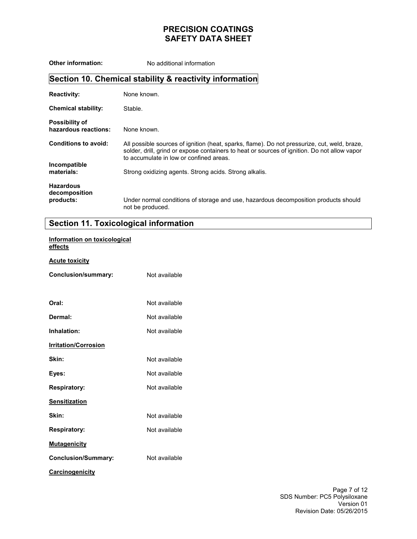**Other information:** No additional information **Section 10. Chemical stability & reactivity information Reactivity: Chemical stability: Possibility of hazardous reactions: Conditions to avoid: Incompatible materials: Hazardous decomposition products:**  None known. Stable. None known. All possible sources of ignition (heat, sparks, flame). Do not pressurize, cut, weld, braze, solder, drill, grind or expose containers to heat or sources of ignition. Do not allow vapor to accumulate in low or confined areas. Strong oxidizing agents. Strong acids. Strong alkalis. Under normal conditions of storage and use, hazardous decomposition products should not be produced.

### **Section 11. Toxicological information**

### **Information on toxicological effects**

### **Acute toxicity**

| Conclusion/summary:         | Not available |
|-----------------------------|---------------|
| Oral:                       | Not available |
| Dermal:                     | Not available |
| Inhalation:                 | Not available |
| <b>Irritation/Corrosion</b> |               |
| Skin:                       | Not available |
| Eyes:                       | Not available |
| <b>Respiratory:</b>         | Not available |
| <b>Sensitization</b>        |               |
| Skin:                       | Not available |
| <b>Respiratory:</b>         | Not available |
| <b>Mutagenicity</b>         |               |
| <b>Conclusion/Summary:</b>  | Not available |
| <b>Carcinogenicity</b>      |               |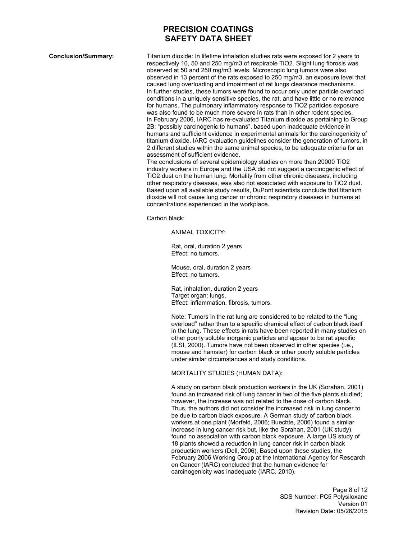**Conclusion/Summary:** Titanium dioxide: In lifetime inhalation studies rats were exposed for 2 years to respectively 10, 50 and 250 mg/m3 of respirable TiO2. Slight lung fibrosis was observed at 50 and 250 mg/m3 levels. Microscopic lung tumors were also observed in 13 percent of the rats exposed to 250 mg/m3, an exposure level that caused lung overloading and impairment of rat lungs clearance mechanisms. In further studies, these tumors were found to occur only under particle overload conditions in a uniquely sensitive species, the rat, and have little or no relevance for humans. The pulmonary inflammatory response to TiO2 particles exposure was also found to be much more severe in rats than in other rodent species. In February 2006, IARC has re-evaluated Titanium dioxide as pertaining to Group 2B: "possibly carcinogenic to humans", based upon inadequate evidence in humans and sufficient evidence in experimental animals for the carcinogenicity of titanium dioxide. IARC evaluation guidelines consider the generation of tumors, in 2 different studies within the same animal species, to be adequate criteria for an assessment of sufficient evidence.

The conclusions of several epidemiology studies on more than 20000 TiO2 industry workers in Europe and the USA did not suggest a carcinogenic effect of TiO2 dust on the human lung. Mortality from other chronic diseases, including other respiratory diseases, was also not associated with exposure to TiO2 dust. Based upon all available study results, DuPont scientists conclude that titanium dioxide will not cause lung cancer or chronic respiratory diseases in humans at concentrations experienced in the workplace.

Carbon black:

ANIMAL TOXICITY:

Rat, oral, duration 2 years Effect: no tumors.

Mouse, oral, duration 2 years Effect: no tumors.

Rat, inhalation, duration 2 years Target organ: lungs. Effect: inflammation, fibrosis, tumors.

Note: Tumors in the rat lung are considered to be related to the "lung overload" rather than to a specific chemical effect of carbon black itself in the lung. These effects in rats have been reported in many studies on other poorly soluble inorganic particles and appear to be rat specific (ILSI, 2000). Tumors have not been observed in other species (i.e., mouse and hamster) for carbon black or other poorly soluble particles under similar circumstances and study conditions.

#### MORTALITY STUDIES (HUMAN DATA):

A study on carbon black production workers in the UK (Sorahan, 2001) found an increased risk of lung cancer in two of the five plants studied; however, the increase was not related to the dose of carbon black. Thus, the authors did not consider the increased risk in lung cancer to be due to carbon black exposure. A German study of carbon black workers at one plant (Morfeld, 2006; Buechte, 2006) found a similar increase in lung cancer risk but, like the Sorahan, 2001 (UK study), found no association with carbon black exposure. A large US study of 18 plants showed a reduction in lung cancer risk in carbon black production workers (Dell, 2006). Based upon these studies, the February 2006 Working Group at the International Agency for Research on Cancer (IARC) concluded that the human evidence for carcinogenicity was inadequate (IARC, 2010).

> Page 8 of 12 SDS Number: PC5 Polysiloxane Version 01 Revision Date: 05/26/2015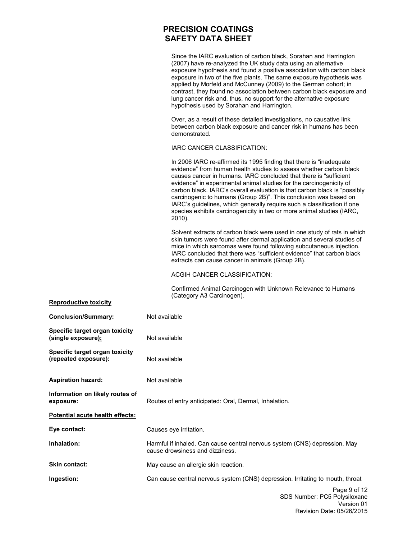Since the IARC evaluation of carbon black, Sorahan and Harrington (2007) have re-analyzed the UK study data using an alternative exposure hypothesis and found a positive association with carbon black exposure in two of the five plants. The same exposure hypothesis was applied by Morfeld and McCunney (2009) to the German cohort; in contrast, they found no association between carbon black exposure and lung cancer risk and, thus, no support for the alternative exposure hypothesis used by Sorahan and Harrington.

Over, as a result of these detailed investigations, no causative link between carbon black exposure and cancer risk in humans has been demonstrated.

#### IARC CANCER CLASSIFICATION:

In 2006 IARC re-affirmed its 1995 finding that there is "inadequate evidence" from human health studies to assess whether carbon black causes cancer in humans. IARC concluded that there is "sufficient evidence" in experimental animal studies for the carcinogenicity of carbon black. IARC's overall evaluation is that carbon black is "possibly carcinogenic to humans (Group 2B)". This conclusion was based on IARC's guidelines, which generally require such a classification if one species exhibits carcinogenicity in two or more animal studies (IARC, 2010).

Solvent extracts of carbon black were used in one study of rats in which skin tumors were found after dermal application and several studies of mice in which sarcomas were found following subcutaneous injection. IARC concluded that there was "sufficient evidence" that carbon black extracts can cause cancer in animals (Group 2B).

### ACGIH CANCER CLASSIFICATION:

Confirmed Animal Carcinogen with Unknown Relevance to Humans (Category A3 Carcinogen).

| <b>Reproductive toxicity</b>                           |                                                                                                               |
|--------------------------------------------------------|---------------------------------------------------------------------------------------------------------------|
| <b>Conclusion/Summary:</b>                             | Not available                                                                                                 |
| Specific target organ toxicity<br>(single exposure):   | Not available                                                                                                 |
| Specific target organ toxicity<br>(repeated exposure): | Not available                                                                                                 |
| <b>Aspiration hazard:</b>                              | Not available                                                                                                 |
| Information on likely routes of<br>exposure:           | Routes of entry anticipated: Oral, Dermal, Inhalation.                                                        |
| Potential acute health effects:                        |                                                                                                               |
| Eye contact:                                           | Causes eye irritation.                                                                                        |
| Inhalation:                                            | Harmful if inhaled. Can cause central nervous system (CNS) depression. May<br>cause drowsiness and dizziness. |
| Skin contact:                                          | May cause an allergic skin reaction.                                                                          |
| Ingestion:                                             | Can cause central nervous system (CNS) depression. Irritating to mouth, throat                                |
|                                                        | Page 9 of 12<br>SDS Number: PC5 Polysiloxane<br>Norcion 01                                                    |

### Version 01 Revision Date: 05/26/2015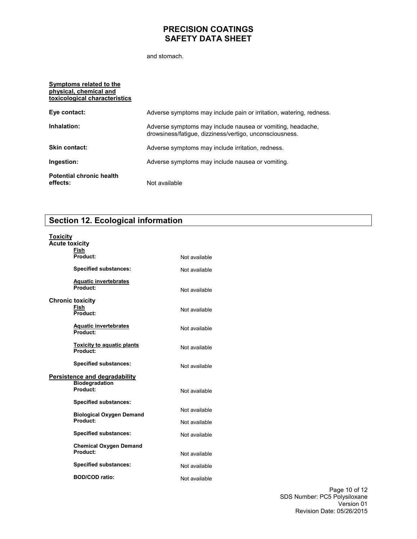and stomach.

| Symptoms related to the<br>physical, chemical and<br>toxicological characteristics |                                                                                                                       |
|------------------------------------------------------------------------------------|-----------------------------------------------------------------------------------------------------------------------|
| Eye contact:                                                                       | Adverse symptoms may include pain or irritation, watering, redness.                                                   |
| Inhalation:                                                                        | Adverse symptoms may include nausea or vomiting, headache,<br>drowsiness/fatigue, dizziness/vertigo, unconsciousness. |
| <b>Skin contact:</b>                                                               | Adverse symptoms may include irritation, redness.                                                                     |
| Ingestion:                                                                         | Adverse symptoms may include nausea or vomiting.                                                                      |
| <b>Potential chronic health</b><br>effects:                                        | Not available                                                                                                         |

# **Section 12. Ecological information**

| Toxicity                |                                               |               |
|-------------------------|-----------------------------------------------|---------------|
| <b>Acute toxicity</b>   |                                               |               |
|                         | <b>Fish</b><br>Product:                       | Not available |
|                         | <b>Specified substances:</b>                  | Not available |
|                         | <b>Aquatic invertebrates</b><br>Product:      | Not available |
| <b>Chronic toxicity</b> | Fish<br>Product:                              | Not available |
|                         | <b>Aquatic invertebrates</b><br>Product:      | Not available |
|                         | <b>Toxicity to aquatic plants</b><br>Product: | Not available |
|                         | <b>Specified substances:</b>                  | Not available |
|                         | <b>Persistence and degradability</b>          |               |
|                         | <b>Biodegradation</b><br>Product:             | Not available |
|                         | <b>Specified substances:</b>                  |               |
|                         | <b>Biological Oxygen Demand</b>               | Not available |
|                         | Product:                                      | Not available |
|                         | <b>Specified substances:</b>                  | Not available |
|                         | <b>Chemical Oxygen Demand</b><br>Product:     | Not available |
|                         | <b>Specified substances:</b>                  | Not available |
|                         | <b>BOD/COD ratio:</b>                         | Not available |

Page 10 of 12 SDS Number: PC5 Polysiloxane Version 01 Revision Date: 05/26/2015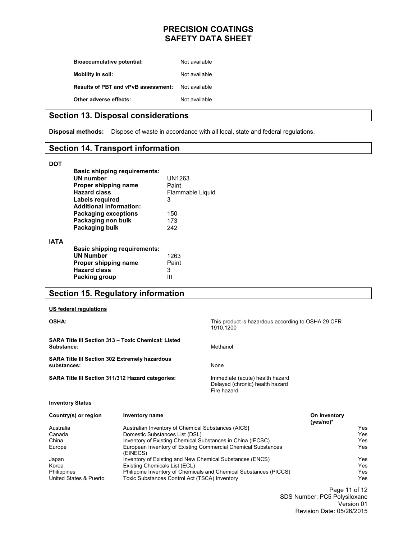| <b>Bioaccumulative potential:</b>          | Not available |
|--------------------------------------------|---------------|
| Mobility in soil:                          | Not available |
| <b>Results of PBT and vPvB assessment:</b> | Not available |
| Other adverse effects:                     | Not available |

### **Section 13. Disposal considerations**

**Disposal methods:** Dispose of waste in accordance with all local, state and federal regulations.

# **Section 14. Transport information**

#### **DOT**

**IATA** 

| <b>Basic shipping requirements:</b><br>UN number<br>Proper shipping name<br><b>Hazard class</b><br>Labels reguired<br><b>Additional information:</b> | UN1263<br>Paint<br>Flammable Liquid<br>3 |
|------------------------------------------------------------------------------------------------------------------------------------------------------|------------------------------------------|
| <b>Packaging exceptions</b><br>Packaging non bulk<br>Packaging bulk                                                                                  | 150<br>173<br>242                        |
| <b>Basic shipping requirements:</b><br><b>UN Number</b><br>Proper shipping name<br><b>Hazard class</b><br>Packing group                              | 1263<br>Paint<br>3                       |

# **Section 15. Regulatory information**

#### **US federal regulations**

| <b>OSHA:</b>                                                         |                                                            | This product is hazardous according to OSHA 29 CFR<br>1910.1200                   |                              |            |
|----------------------------------------------------------------------|------------------------------------------------------------|-----------------------------------------------------------------------------------|------------------------------|------------|
| Substance:                                                           | <b>SARA Title III Section 313 - Toxic Chemical: Listed</b> | Methanol                                                                          |                              |            |
| <b>SARA Title III Section 302 Extremely hazardous</b><br>substances: |                                                            | None                                                                              |                              |            |
| <b>SARA Title III Section 311/312 Hazard categories:</b>             |                                                            | Immediate (acute) health hazard<br>Delayed (chronic) health hazard<br>Fire hazard |                              |            |
| <b>Inventory Status</b>                                              |                                                            |                                                                                   |                              |            |
| Country(s) or region                                                 | <b>Inventory name</b>                                      |                                                                                   | On inventory<br>(yes/no) $*$ |            |
| Australia                                                            | Australian Inventory of Chemical Substances (AICS)         |                                                                                   |                              | Yes        |
| Canada                                                               | Domestic Substances List (DSL)                             |                                                                                   |                              | Yes        |
| China                                                                | Inventory of Existing Chemical Substances in China (IECSC) |                                                                                   | Yes                          |            |
| Europe                                                               | (EINECS)                                                   | European Inventory of Existing Commercial Chemical Substances                     |                              | <b>Yes</b> |
| Japan                                                                | Inventory of Existing and New Chemical Substances (ENCS)   |                                                                                   |                              | Yes        |
| Korea                                                                | Existing Chemicals List (ECL)                              |                                                                                   |                              | Yes        |
| <b>Philippines</b>                                                   |                                                            | Philippine Inventory of Chemicals and Chemical Substances (PICCS)                 |                              | Yes        |
| United States & Puerto                                               | Toxic Substances Control Act (TSCA) Inventory              |                                                                                   |                              | Yes        |

Page 11 of 12 SDS Number: PC5 Polysiloxane Version 01 Revision Date: 05/26/2015